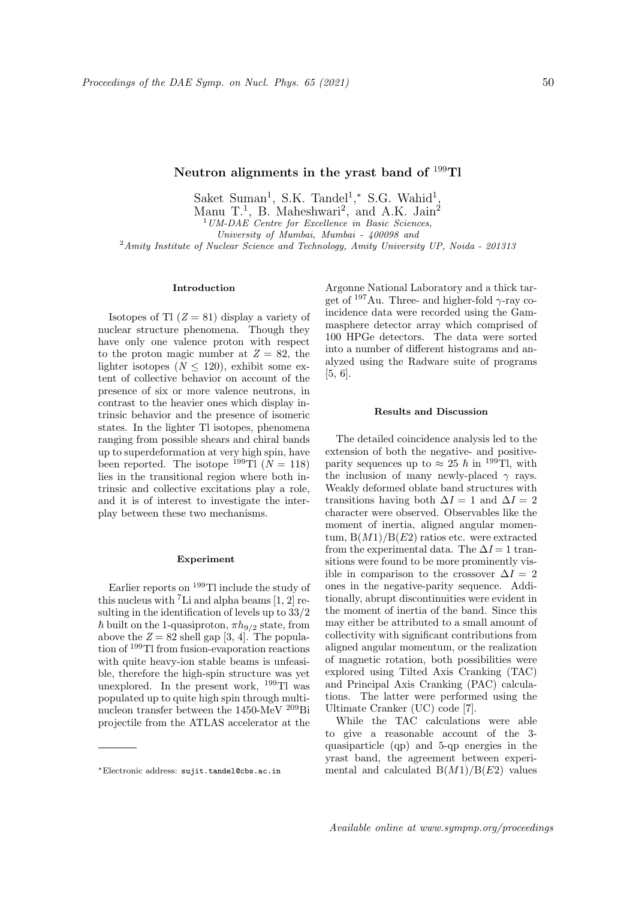Saket Suman<sup>1</sup>, S.K. Tandel<sup>1</sup>,\* S.G. Wahid<sup>1</sup>, Manu T.<sup>1</sup>, B. Maheshwari<sup>2</sup>, and A.K. Jain<sup>2</sup>  $1$  UM-DAE Centre for Excellence in Basic Sciences, University of Mumbai, Mumbai - 400098 and <sup>2</sup> Amity Institute of Nuclear Science and Technology, Amity University UP, Noida - 201313

# Introduction

Isotopes of Tl  $(Z = 81)$  display a variety of nuclear structure phenomena. Though they have only one valence proton with respect to the proton magic number at  $Z = 82$ , the lighter isotopes ( $N \leq 120$ ), exhibit some extent of collective behavior on account of the presence of six or more valence neutrons, in contrast to the heavier ones which display intrinsic behavior and the presence of isomeric states. In the lighter Tl isotopes, phenomena ranging from possible shears and chiral bands up to superdeformation at very high spin, have been reported. The isotope <sup>199</sup>Tl ( $N = 118$ ) lies in the transitional region where both intrinsic and collective excitations play a role, and it is of interest to investigate the interplay between these two mechanisms.

### Experiment

Earlier reports on <sup>199</sup>Tl include the study of this nucleus with  ${}^{7}$ Li and alpha beams [1, 2] resulting in the identification of levels up to 33/2  $\hbar$  built on the 1-quasiproton,  $\pi h_{9/2}$  state, from above the  $Z = 82$  shell gap [3, 4]. The population of <sup>199</sup>Tl from fusion-evaporation reactions with quite heavy-ion stable beams is unfeasible, therefore the high-spin structure was yet unexplored. In the present work, <sup>199</sup>Tl was populated up to quite high spin through multinucleon transfer between the 1450-MeV  $^{209}{\rm Bi}$ projectile from the ATLAS accelerator at the

Argonne National Laboratory and a thick target of  $197$ Au. Three- and higher-fold  $\gamma$ -ray coincidence data were recorded using the Gammasphere detector array which comprised of 100 HPGe detectors. The data were sorted into a number of different histograms and analyzed using the Radware suite of programs [5, 6].

## Results and Discussion

The detailed coincidence analysis led to the extension of both the negative- and positiveparity sequences up to  $\approx 25 \hbar$  in <sup>199</sup>Tl, with the inclusion of many newly-placed  $\gamma$  rays. Weakly deformed oblate band structures with transitions having both  $\Delta I = 1$  and  $\Delta I = 2$ character were observed. Observables like the moment of inertia, aligned angular momentum,  $B(M1)/B(E2)$  ratios etc. were extracted from the experimental data. The  $\Delta I = 1$  transitions were found to be more prominently visible in comparison to the crossover  $\Delta I = 2$ ones in the negative-parity sequence. Additionally, abrupt discontinuities were evident in the moment of inertia of the band. Since this may either be attributed to a small amount of collectivity with significant contributions from aligned angular momentum, or the realization of magnetic rotation, both possibilities were explored using Tilted Axis Cranking (TAC) and Principal Axis Cranking (PAC) calculations. The latter were performed using the Ultimate Cranker (UC) code [7].

While the TAC calculations were able to give a reasonable account of the 3 quasiparticle (qp) and 5-qp energies in the yrast band, the agreement between experimental and calculated  $B(M1)/B(E2)$  values

<sup>∗</sup>Electronic address: sujit.tandel@cbs.ac.in